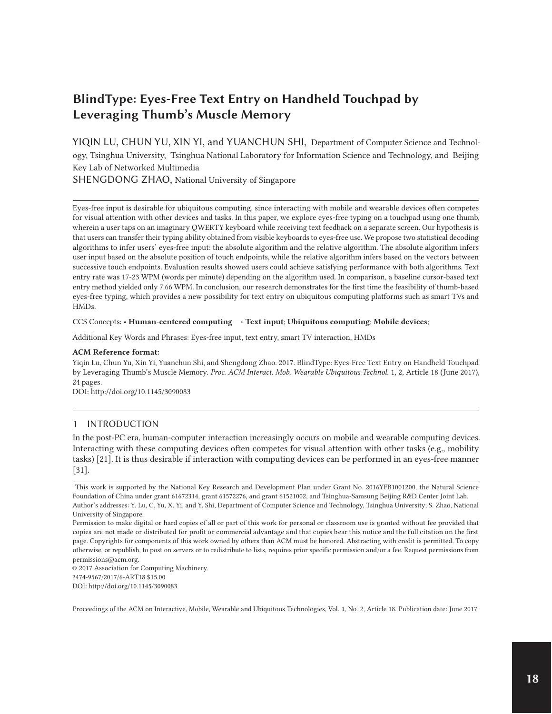YIQIN LU, CHUN YU, XIN YI, and YUANCHUN SHI, Department of Computer Science and Technology, Tsinghua University, Tsinghua National Laboratory for Information Science and Technology, and Beijing Key Lab of Networked Multimedia

SHENGDONG ZHAO, National University of Singapore

Eyes-free input is desirable for ubiquitous computing, since interacting with mobile and wearable devices often competes for visual attention with other devices and tasks. In this paper, we explore eyes-free typing on a touchpad using one thumb, wherein a user taps on an imaginary QWERTY keyboard while receiving text feedback on a separate screen. Our hypothesis is that users can transfer their typing ability obtained from visible keyboards to eyes-free use. We propose two statistical decoding algorithms to infer users' eyes-free input: the absolute algorithm and the relative algorithm. The absolute algorithm infers user input based on the absolute position of touch endpoints, while the relative algorithm infers based on the vectors between successive touch endpoints. Evaluation results showed users could achieve satisfying performance with both algorithms. Text entry rate was 17-23 WPM (words per minute) depending on the algorithm used. In comparison, a baseline cursor-based text entry method yielded only 7.66 WPM. In conclusion, our research demonstrates for the first time the feasibility of thumb-based eyes-free typing, which provides a new possibility for text entry on ubiquitous computing platforms such as smart TVs and HMDs.

CCS Concepts: • **Human-centered computing** → **Text input**; **Ubiquitous computing**; **Mobile devices**;

Additional Key Words and Phrases: Eyes-free input, text entry, smart TV interaction, HMDs

### **ACM Reference format:**

Yiqin Lu, Chun Yu, Xin Yi, Yuanchun Shi, and Shengdong Zhao. 2017. BlindType: Eyes-Free Text Entry on Handheld Touchpad by Leveraging Thumb's Muscle Memory. *Proc. ACM Interact. Mob. Wearable Ubiquitous Technol.* 1, 2, Article 18 (June 2017), [24](#page-23-0) pages.

[DOI: http://doi.org/](https://doi.org/10.1145/3090083)10.1145/3090083

# 1 INTRODUCTION

In the post-PC era, human-computer interaction increasingly occurs on mobile and wearable computing devices. Interacting with these computing devices often competes for visual attention with other tasks (e.g., mobility tasks) [\[21\]](#page-22-0). It is thus desirable if interaction with computing devices can be performed in an eyes-free manner [\[31\]](#page-23-1).

© 2017 Association for Computing Machinery. 2474-9567/2017/6-ART18 \$15.00 [DOI: http://doi.org/](https://doi.org/10.1145/3090083)10.1145/3090083

This work is supported by the National Key Research and Development Plan under Grant No. 2016YFB1001200, the Natural Science Foundation of China under grant 61672314, grant 61572276, and grant 61521002, and Tsinghua-Samsung Beijing R&D Center Joint Lab. Author's addresses: Y. Lu, C. Yu, X. Yi, and Y. Shi, Department of Computer Science and Technology, Tsinghua University; S. Zhao, National University of Singapore.

Permission to make digital or hard copies of all or part of this work for personal or classroom use is granted without fee provided that copies are not made or distributed for profit or commercial advantage and that copies bear this notice and the full citation on the first page. Copyrights for components of this work owned by others than ACM must be honored. Abstracting with credit is permitted. To copy otherwise, or republish, to post on servers or to redistribute to lists, requires prior specific permission and/or a fee. Request permissions from permissions@acm.org.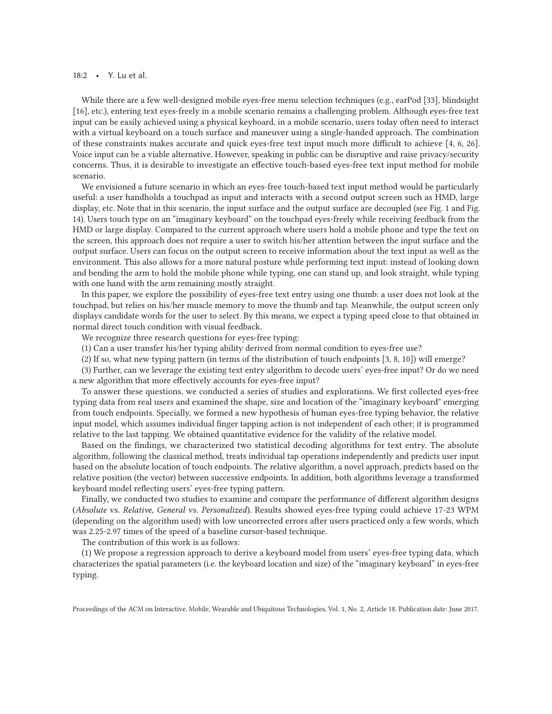### 18:2 • Y. Lu et al.

While there are a few well-designed mobile eyes-free menu selection techniques (e.g., earPod [\[33\]](#page-23-2), blindsight [\[16\]](#page-22-1), etc.), entering text eyes-freely in a mobile scenario remains a challenging problem. Although eyes-free text input can be easily achieved using a physical keyboard, in a mobile scenario, users today often need to interact with a virtual keyboard on a touch surface and maneuver using a single-handed approach. The combination of these constraints makes accurate and quick eyes-free text input much more difficult to achieve [\[4,](#page-21-0) [6,](#page-21-1) [26\]](#page-22-2). Voice input can be a viable alternative. However, speaking in public can be disruptive and raise privacy/security concerns. Thus, it is desirable to investigate an effective touch-based eyes-free text input method for mobile scenario.

We envisioned a future scenario in which an eyes-free touch-based text input method would be particularly useful: a user handholds a touchpad as input and interacts with a second output screen such as HMD, large display, etc. Note that in this scenario, the input surface and the output surface are decoupled (see Fig. [1](#page-4-0) and Fig. [14\)](#page-18-0). Users touch type on an "imaginary keyboard" on the touchpad eyes-freely while receiving feedback from the HMD or large display. Compared to the current approach where users hold a mobile phone and type the text on the screen, this approach does not require a user to switch his/her attention between the input surface and the output surface. Users can focus on the output screen to receive information about the text input as well as the environment. This also allows for a more natural posture while performing text input: instead of looking down and bending the arm to hold the mobile phone while typing, one can stand up, and look straight, while typing with one hand with the arm remaining mostly straight.

In this paper, we explore the possibility of eyes-free text entry using one thumb: a user does not look at the touchpad, but relies on his/her muscle memory to move the thumb and tap. Meanwhile, the output screen only displays candidate words for the user to select. By this means, we expect a typing speed close to that obtained in normal direct touch condition with visual feedback.

We recognize three research questions for eyes-free typing:

(1) Can a user transfer his/her typing ability derived from normal condition to eyes-free use?

(2) If so, what new typing pattern (in terms of the distribution of touch endpoints [\[3,](#page-21-2) [8,](#page-22-3) [10\]](#page-22-4)) will emerge?

(3) Further, can we leverage the existing text entry algorithm to decode users' eyes-free input? Or do we need a new algorithm that more effectively accounts for eyes-free input?

To answer these questions, we conducted a series of studies and explorations. We first collected eyes-free typing data from real users and examined the shape, size and location of the "imaginary keyboard" emerging from touch endpoints. Specially, we formed a new hypothesis of human eyes-free typing behavior, the relative input model, which assumes individual finger tapping action is not independent of each other; it is programmed relative to the last tapping. We obtained quantitative evidence for the validity of the relative model.

Based on the findings, we characterized two statistical decoding algorithms for text entry. The absolute algorithm, following the classical method, treats individual tap operations independently and predicts user input based on the absolute location of touch endpoints. The relative algorithm, a novel approach, predicts based on the relative position (the vector) between successive endpoints. In addition, both algorithms leverage a transformed keyboard model reflecting users' eyes-free typing pattern.

Finally, we conducted two studies to examine and compare the performance of different algorithm designs (*Absolute* vs. *Relative*, *General* vs. *Personalized*). Results showed eyes-free typing could achieve 17-23 WPM (depending on the algorithm used) with low uncorrected errors after users practiced only a few words, which was 2.25-2.97 times of the speed of a baseline cursor-based technique.

The contribution of this work is as follows:

(1) We propose a regression approach to derive a keyboard model from users' eyes-free typing data, which characterizes the spatial parameters (i.e. the keyboard location and size) of the "imaginary keyboard" in eyes-free typing.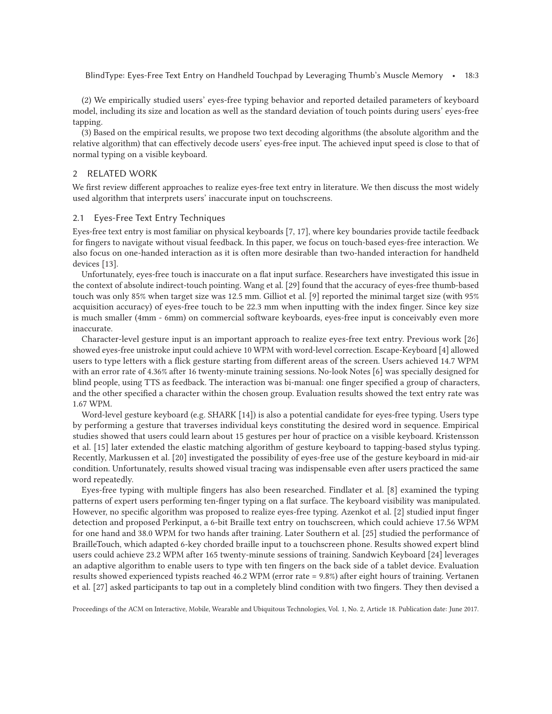(2) We empirically studied users' eyes-free typing behavior and reported detailed parameters of keyboard model, including its size and location as well as the standard deviation of touch points during users' eyes-free tapping.

(3) Based on the empirical results, we propose two text decoding algorithms (the absolute algorithm and the relative algorithm) that can effectively decode users' eyes-free input. The achieved input speed is close to that of normal typing on a visible keyboard.

# 2 RELATED WORK

We first review different approaches to realize eyes-free text entry in literature. We then discuss the most widely used algorithm that interprets users' inaccurate input on touchscreens.

### 2.1 Eyes-Free Text Entry Techniques

Eyes-free text entry is most familiar on physical keyboards [\[7,](#page-22-5) [17\]](#page-22-6), where key boundaries provide tactile feedback for fingers to navigate without visual feedback. In this paper, we focus on touch-based eyes-free interaction. We also focus on one-handed interaction as it is often more desirable than two-handed interaction for handheld devices [\[13\]](#page-22-7).

Unfortunately, eyes-free touch is inaccurate on a flat input surface. Researchers have investigated this issue in the context of absolute indirect-touch pointing. Wang et al. [\[29\]](#page-23-3) found that the accuracy of eyes-free thumb-based touch was only 85% when target size was 12.5 mm. Gilliot et al. [\[9\]](#page-22-8) reported the minimal target size (with 95% acquisition accuracy) of eyes-free touch to be 22.3 mm when inputting with the index finger. Since key size is much smaller (4mm - 6mm) on commercial software keyboards, eyes-free input is conceivably even more inaccurate.

Character-level gesture input is an important approach to realize eyes-free text entry. Previous work [\[26\]](#page-22-2) showed eyes-free unistroke input could achieve 10 WPM with word-level correction. Escape-Keyboard [\[4\]](#page-21-0) allowed users to type letters with a flick gesture starting from different areas of the screen. Users achieved 14.7 WPM with an error rate of 4.36% after 16 twenty-minute training sessions. No-look Notes [\[6\]](#page-21-1) was specially designed for blind people, using TTS as feedback. The interaction was bi-manual: one finger specified a group of characters, and the other specified a character within the chosen group. Evaluation results showed the text entry rate was 1.67 WPM.

Word-level gesture keyboard (e.g. SHARK [\[14\]](#page-22-9)) is also a potential candidate for eyes-free typing. Users type by performing a gesture that traverses individual keys constituting the desired word in sequence. Empirical studies showed that users could learn about 15 gestures per hour of practice on a visible keyboard. Kristensson et al. [\[15\]](#page-22-10) later extended the elastic matching algorithm of gesture keyboard to tapping-based stylus typing. Recently, Markussen et al. [\[20\]](#page-22-11) investigated the possibility of eyes-free use of the gesture keyboard in mid-air condition. Unfortunately, results showed visual tracing was indispensable even after users practiced the same word repeatedly.

Eyes-free typing with multiple fingers has also been researched. Findlater et al. [\[8\]](#page-22-3) examined the typing patterns of expert users performing ten-finger typing on a flat surface. The keyboard visibility was manipulated. However, no specific algorithm was proposed to realize eyes-free typing. Azenkot et al. [\[2\]](#page-21-3) studied input finger detection and proposed Perkinput, a 6-bit Braille text entry on touchscreen, which could achieve 17.56 WPM for one hand and 38.0 WPM for two hands after training. Later Southern et al. [\[25\]](#page-22-12) studied the performance of BrailleTouch, which adapted 6-key chorded braille input to a touchscreen phone. Results showed expert blind users could achieve 23.2 WPM after 165 twenty-minute sessions of training. Sandwich Keyboard [\[24\]](#page-22-13) leverages an adaptive algorithm to enable users to type with ten fingers on the back side of a tablet device. Evaluation results showed experienced typists reached 46.2 WPM (error rate = 9.8%) after eight hours of training. Vertanen et al. [\[27\]](#page-23-4) asked participants to tap out in a completely blind condition with two fingers. They then devised a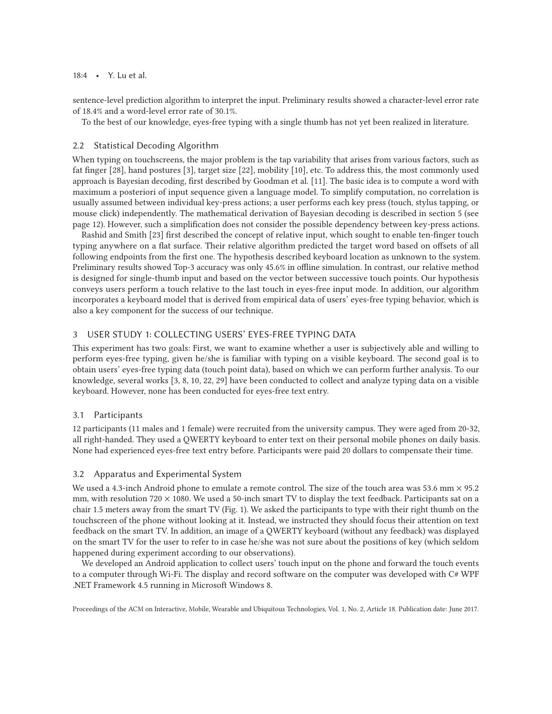### 18:4 • Y. Lu et al.

sentence-level prediction algorithm to interpret the input. Preliminary results showed a character-level error rate of 18.4% and a word-level error rate of 30.1%.

To the best of our knowledge, eyes-free typing with a single thumb has not yet been realized in literature.

### 2.2 Statistical Decoding Algorithm

When typing on touchscreens, the major problem is the tap variability that arises from various factors, such as fat finger [\[28\]](#page-23-5), hand postures [\[3\]](#page-21-2), target size [\[22\]](#page-22-14), mobility [\[10\]](#page-22-4), etc. To address this, the most commonly used approach is Bayesian decoding, first described by Goodman et al. [\[11\]](#page-22-15). The basic idea is to compute a word with maximum a posteriori of input sequence given a language model. To simplify computation, no correlation is usually assumed between individual key-press actions; a user performs each key press (touch, stylus tapping, or mouse click) independently. The mathematical derivation of Bayesian decoding is described in section 5 (see page 12). However, such a simplification does not consider the possible dependency between key-press actions.

Rashid and Smith [\[23\]](#page-22-16) first described the concept of relative input, which sought to enable ten-finger touch typing anywhere on a flat surface. Their relative algorithm predicted the target word based on offsets of all following endpoints from the first one. The hypothesis described keyboard location as unknown to the system. Preliminary results showed Top-3 accuracy was only 45.6% in offline simulation. In contrast, our relative method is designed for single-thumb input and based on the vector between successive touch points. Our hypothesis conveys users perform a touch relative to the last touch in eyes-free input mode. In addition, our algorithm incorporates a keyboard model that is derived from empirical data of users' eyes-free typing behavior, which is also a key component for the success of our technique.

# 3 USER STUDY 1: COLLECTING USERS' EYES-FREE TYPING DATA

This experiment has two goals: First, we want to examine whether a user is subjectively able and willing to perform eyes-free typing, given he/she is familiar with typing on a visible keyboard. The second goal is to obtain users' eyes-free typing data (touch point data), based on which we can perform further analysis. To our knowledge, several works [\[3,](#page-21-2) [8,](#page-22-3) [10,](#page-22-4) [22,](#page-22-14) [29\]](#page-23-3) have been conducted to collect and analyze typing data on a visible keyboard. However, none has been conducted for eyes-free text entry.

### 3.1 Participants

12 participants (11 males and 1 female) were recruited from the university campus. They were aged from 20-32, all right-handed. They used a QWERTY keyboard to enter text on their personal mobile phones on daily basis. None had experienced eyes-free text entry before. Participants were paid 20 dollars to compensate their time.

### 3.2 Apparatus and Experimental System

We used a 4.3-inch Android phone to emulate a remote control. The size of the touch area was 53.6 mm  $\times$  95.2 mm, with resolution  $720 \times 1080$ . We used a 50-inch smart TV to display the text feedback. Participants sat on a chair 1.5 meters away from the smart TV (Fig. [1\)](#page-4-0). We asked the participants to type with their right thumb on the touchscreen of the phone without looking at it. Instead, we instructed they should focus their attention on text feedback on the smart TV. In addition, an image of a QWERTY keyboard (without any feedback) was displayed on the smart TV for the user to refer to in case he/she was not sure about the positions of key (which seldom happened during experiment according to our observations).

We developed an Android application to collect users' touch input on the phone and forward the touch events to a computer through Wi-Fi. The display and record software on the computer was developed with C# WPF .NET Framework 4.5 running in Microsoft Windows 8.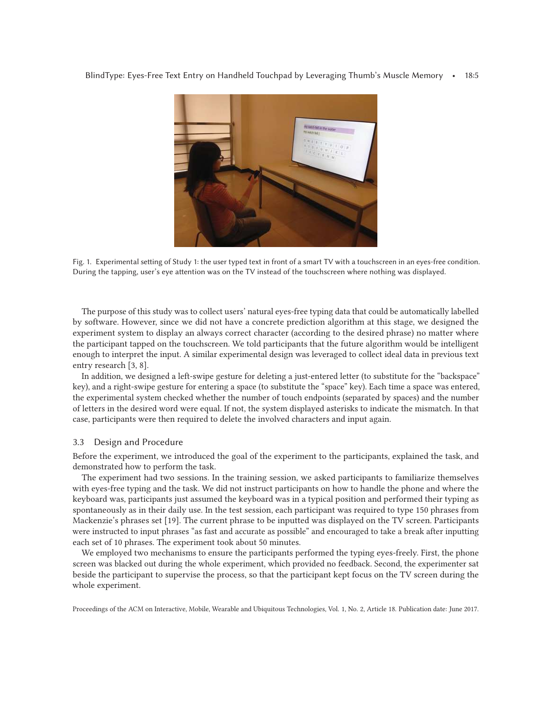<span id="page-4-0"></span>

Fig. 1. Experimental setting of Study 1: the user typed text in front of a smart TV with a touchscreen in an eyes-free condition. During the tapping, user's eye attention was on the TV instead of the touchscreen where nothing was displayed.

The purpose of this study was to collect users' natural eyes-free typing data that could be automatically labelled by software. However, since we did not have a concrete prediction algorithm at this stage, we designed the experiment system to display an always correct character (according to the desired phrase) no matter where the participant tapped on the touchscreen. We told participants that the future algorithm would be intelligent enough to interpret the input. A similar experimental design was leveraged to collect ideal data in previous text entry research [\[3,](#page-21-2) [8\]](#page-22-3).

In addition, we designed a left-swipe gesture for deleting a just-entered letter (to substitute for the "backspace" key), and a right-swipe gesture for entering a space (to substitute the "space" key). Each time a space was entered, the experimental system checked whether the number of touch endpoints (separated by spaces) and the number of letters in the desired word were equal. If not, the system displayed asterisks to indicate the mismatch. In that case, participants were then required to delete the involved characters and input again.

#### 3.3 Design and Procedure

Before the experiment, we introduced the goal of the experiment to the participants, explained the task, and demonstrated how to perform the task.

The experiment had two sessions. In the training session, we asked participants to familiarize themselves with eyes-free typing and the task. We did not instruct participants on how to handle the phone and where the keyboard was, participants just assumed the keyboard was in a typical position and performed their typing as spontaneously as in their daily use. In the test session, each participant was required to type 150 phrases from Mackenzie's phrases set [\[19\]](#page-22-17). The current phrase to be inputted was displayed on the TV screen. Participants were instructed to input phrases "as fast and accurate as possible" and encouraged to take a break after inputting each set of 10 phrases. The experiment took about 50 minutes.

We employed two mechanisms to ensure the participants performed the typing eyes-freely. First, the phone screen was blacked out during the whole experiment, which provided no feedback. Second, the experimenter sat beside the participant to supervise the process, so that the participant kept focus on the TV screen during the whole experiment.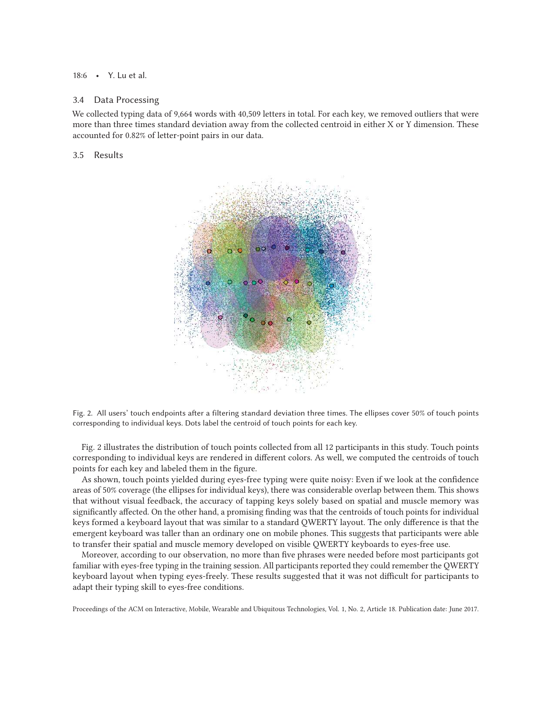### 18:6 • Y. Lu et al.

#### 3.4 Data Processing

We collected typing data of 9,664 words with 40,509 letters in total. For each key, we removed outliers that were more than three times standard deviation away from the collected centroid in either X or Y dimension. These accounted for 0.82% of letter-point pairs in our data.

# <span id="page-5-0"></span>3.5 Results



Fig. 2. All users' touch endpoints after a filtering standard deviation three times. The ellipses cover 50% of touch points corresponding to individual keys. Dots label the centroid of touch points for each key.

Fig. [2](#page-5-0) illustrates the distribution of touch points collected from all 12 participants in this study. Touch points corresponding to individual keys are rendered in different colors. As well, we computed the centroids of touch points for each key and labeled them in the figure.

As shown, touch points yielded during eyes-free typing were quite noisy: Even if we look at the confidence areas of 50% coverage (the ellipses for individual keys), there was considerable overlap between them. This shows that without visual feedback, the accuracy of tapping keys solely based on spatial and muscle memory was significantly affected. On the other hand, a promising finding was that the centroids of touch points for individual keys formed a keyboard layout that was similar to a standard QWERTY layout. The only difference is that the emergent keyboard was taller than an ordinary one on mobile phones. This suggests that participants were able to transfer their spatial and muscle memory developed on visible QWERTY keyboards to eyes-free use.

Moreover, according to our observation, no more than five phrases were needed before most participants got familiar with eyes-free typing in the training session. All participants reported they could remember the QWERTY keyboard layout when typing eyes-freely. These results suggested that it was not difficult for participants to adapt their typing skill to eyes-free conditions.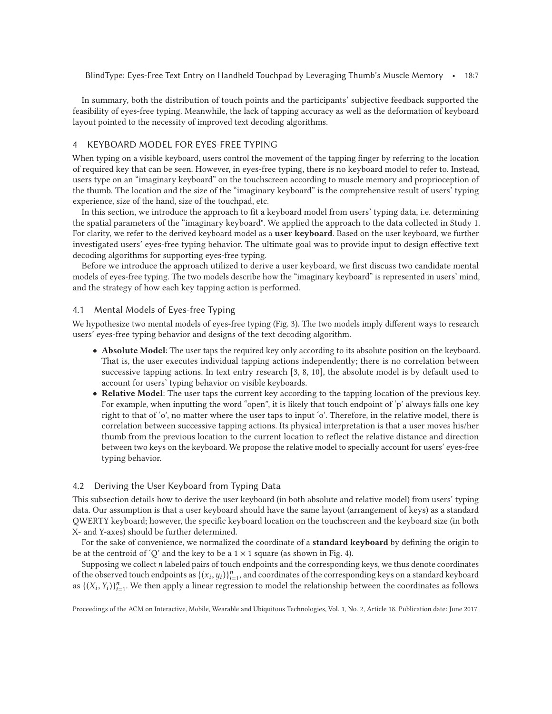In summary, both the distribution of touch points and the participants' subjective feedback supported the feasibility of eyes-free typing. Meanwhile, the lack of tapping accuracy as well as the deformation of keyboard layout pointed to the necessity of improved text decoding algorithms.

# 4 KEYBOARD MODEL FOR EYES-FREE TYPING

When typing on a visible keyboard, users control the movement of the tapping finger by referring to the location of required key that can be seen. However, in eyes-free typing, there is no keyboard model to refer to. Instead, users type on an "imaginary keyboard" on the touchscreen according to muscle memory and proprioception of the thumb. The location and the size of the "imaginary keyboard" is the comprehensive result of users' typing experience, size of the hand, size of the touchpad, etc.

In this section, we introduce the approach to fit a keyboard model from users' typing data, i.e. determining the spatial parameters of the "imaginary keyboard". We applied the approach to the data collected in Study 1. For clarity, we refer to the derived keyboard model as a **user keyboard**. Based on the user keyboard, we further investigated users' eyes-free typing behavior. The ultimate goal was to provide input to design effective text decoding algorithms for supporting eyes-free typing.

Before we introduce the approach utilized to derive a user keyboard, we first discuss two candidate mental models of eyes-free typing. The two models describe how the "imaginary keyboard" is represented in users' mind, and the strategy of how each key tapping action is performed.

### 4.1 Mental Models of Eyes-free Typing

We hypothesize two mental models of eyes-free typing (Fig. [3\)](#page-7-0). The two models imply different ways to research users' eyes-free typing behavior and designs of the text decoding algorithm.

- **Absolute Model**: The user taps the required key only according to its absolute position on the keyboard. That is, the user executes individual tapping actions independently; there is no correlation between successive tapping actions. In text entry research [\[3,](#page-21-2) [8,](#page-22-3) [10\]](#page-22-4), the absolute model is by default used to account for users' typing behavior on visible keyboards.
- **Relative Model**: The user taps the current key according to the tapping location of the previous key. For example, when inputting the word "open", it is likely that touch endpoint of 'p' always falls one key right to that of 'o', no matter where the user taps to input 'o'. Therefore, in the relative model, there is correlation between successive tapping actions. Its physical interpretation is that a user moves his/her thumb from the previous location to the current location to reflect the relative distance and direction between two keys on the keyboard. We propose the relative model to specially account for users' eyes-free typing behavior.

# 4.2 Deriving the User Keyboard from Typing Data

This subsection details how to derive the user keyboard (in both absolute and relative model) from users' typing data. Our assumption is that a user keyboard should have the same layout (arrangement of keys) as a standard QWERTY keyboard; however, the specific keyboard location on the touchscreen and the keyboard size (in both X- and Y-axes) should be further determined.

For the sake of convenience, we normalized the coordinate of a **standard keyboard** by defining the origin to be at the centroid of 'Q' and the key to be a  $1 \times 1$  square (as shown in Fig. [4\)](#page-7-1).

Supposing we collect n labeled pairs of touch endpoints and the corresponding keys, we thus denote coordinates of the observed touch endpoints as  $\{(x_i,y_i)\}_{i=1}^n$ , and coordinates of the corresponding keys on a standard keyboard as  $\{(X_i, Y_i)\}_{i=1}^n$ . We then apply a linear regression to model the relationship between the coordinates as follows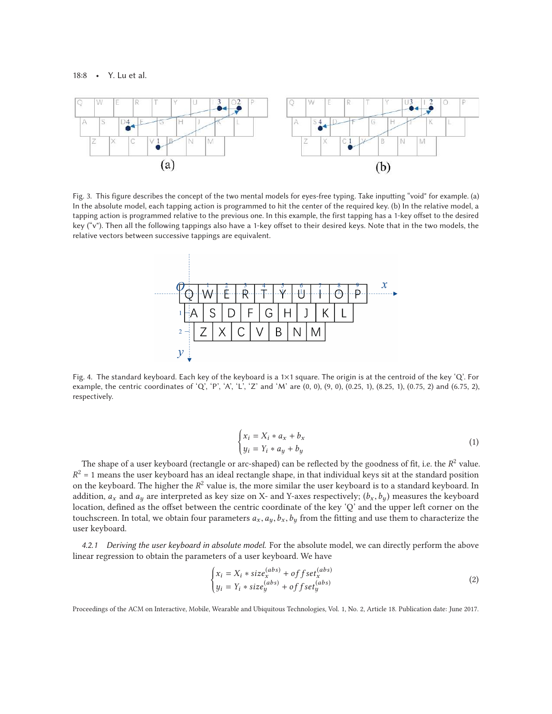<span id="page-7-0"></span>

<span id="page-7-1"></span>Fig. 3. This figure describes the concept of the two mental models for eyes-free typing. Take inputting "void" for example. (a) In the absolute model, each tapping action is programmed to hit the center of the required key. (b) In the relative model, a tapping action is programmed relative to the previous one. In this example, the first tapping has a 1-key offset to the desired key ("v"). Then all the following tappings also have a 1-key offset to their desired keys. Note that in the two models, the relative vectors between successive tappings are equivalent.



Fig. 4. The standard keyboard. Each key of the keyboard is a 1×1 square. The origin is at the centroid of the key 'Q'. For example, the centric coordinates of 'Q', 'P', 'A', 'L', 'Z' and 'M' are (0, 0), (9, 0), (0.25, 1), (8.25, 1), (0.75, 2) and (6.75, 2), respectively.

<span id="page-7-2"></span>
$$
\begin{cases} x_i = X_i * a_x + b_x \\ y_i = Y_i * a_y + b_y \end{cases} \tag{1}
$$

The shape of a user keyboard (rectangle or arc-shaped) can be reflected by the goodness of fit, i.e. the  $R^2$  value.  $R^2 = 1$  means the user keyboard has an ideal rectangle shape, in that individual keys sit at the standard position on the keyboard. The higher the  $R^2$  value is, the more similar the user keyboard is to a standard keyboard. In addition,  $a_x$  and  $a_y$  are interpreted as key size on X- and Y-axes respectively;  $(b_x, b_y)$  measures the keyboard location, defined as the offset between the centric coordinate of the key 'Q' and the upper left corner on the touchscreen. In total, we obtain four parameters  $a_x$ ,  $a_y$ ,  $b_x$ ,  $b_y$  from the fitting and use them to characterize the user keyboard.

*4.2.1 Deriving the user keyboard in absolute model.* For the absolute model, we can directly perform the above linear regression to obtain the parameters of a user keyboard. We have

<span id="page-7-3"></span>
$$
\begin{cases}\n x_i = X_i * size_x^{(abs)} + offset_x^{(abs)} \\
y_i = Y_i * size_y^{(abs)} + offset_y^{(abs)}\n\end{cases}
$$
\n(2)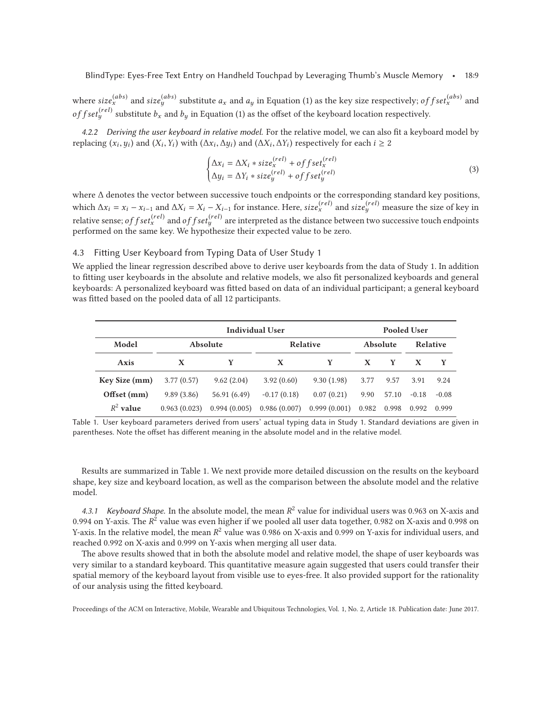where siz $e_x^{(abs)}$  and siz $e_y^{(abs)}$  substitute  $a_x$  and  $a_y$  in Equation [\(1\)](#page-7-2) as the key size respectively; of f set $_x^{(abs)}$  and of f set<sup>(rel)</sup> substitute  $b_x$  and  $b_y$  in Equation [\(1\)](#page-7-2) as the offset of the keyboard location respectively.

*4.2.2 Deriving the user keyboard in relative model.* For the relative model, we can also fit a keyboard model by replacing  $(x_i, y_i)$  and  $(X_i, Y_i)$  with  $(\Delta x_i, \Delta y_i)$  and  $(\Delta X_i, \Delta Y_i)$  respectively for each  $i \geq 2$ 

<span id="page-8-1"></span>
$$
\begin{cases} \Delta x_i = \Delta X_i * size_x^{(rel)} + offset_x^{(rel)} \\ \Delta y_i = \Delta Y_i * size_y^{(rel)} + offset_y^{(rel)} \end{cases}
$$
(3)

where Δ denotes the vector between successive touch endpoints or the corresponding standard key positions, which  $\Delta x_i = x_i - x_{i-1}$  and  $\Delta X_i = X_i - X_{i-1}$  for instance. Here,  $size^{(rel)}_x$  and  $size^{(rel)}_y$  measure the size of key in relative sense; of f se $t_x^{(rel)}$  and of f se $t_y^{(rel)}$  are interpreted as the distance between two successive touch endpoints performed on the same key. We hypothesize their expected value to be zero.

# 4.3 Fitting User Keyboard from Typing Data of User Study 1

We applied the linear regression described above to derive user keyboards from the data of Study 1. In addition to fitting user keyboards in the absolute and relative models, we also fit personalized keyboards and general keyboards: A personalized keyboard was fitted based on data of an individual participant; a general keyboard was fitted based on the pooled data of all 12 participants.

<span id="page-8-0"></span>

| Individual User |                 |              |               |              | Pooled User     |             |          |         |
|-----------------|-----------------|--------------|---------------|--------------|-----------------|-------------|----------|---------|
| Model           | <b>Absolute</b> |              | Relative      |              | <b>Absolute</b> |             | Relative |         |
| Axis            | X               | Y            | X             |              | X               |             | X        | Y       |
| Key Size (mm)   | 3.77(0.57)      | 9.62(2.04)   | 3.92(0.60)    | 9.30(1.98)   | 3.77            | 9.57        | 3.91     | 9.24    |
| Offset (mm)     | 9.89(3.86)      | 56.91(6.49)  | $-0.17(0.18)$ | 0.07(0.21)   | 9.90            | 57.10       | $-0.18$  | $-0.08$ |
| $R^2$ value     | 0.963(0.023)    | 0.994(0.005) | 0.986(0.007)  | 0.999(0.001) |                 | 0.982 0.998 | 0.992    | 0.999   |

Table 1. User keyboard parameters derived from users' actual typing data in Study 1. Standard deviations are given in parentheses. Note the offset has different meaning in the absolute model and in the relative model.

Results are summarized in Table [1.](#page-8-0) We next provide more detailed discussion on the results on the keyboard shape, key size and keyboard location, as well as the comparison between the absolute model and the relative model.

4.3.1 *Keyboard Shape.* In the absolute model, the mean  $R^2$  value for individual users was 0.963 on X-axis and 0.994 on Y-axis. The  $R^2$  value was even higher if we pooled all user data together, 0.982 on X-axis and 0.998 on Y-axis. In the relative model, the mean  $R^2$  value was 0.986 on X-axis and 0.999 on Y-axis for individual users, and reached 0.992 on X-axis and 0.999 on Y-axis when merging all user data.

The above results showed that in both the absolute model and relative model, the shape of user keyboards was very similar to a standard keyboard. This quantitative measure again suggested that users could transfer their spatial memory of the keyboard layout from visible use to eyes-free. It also provided support for the rationality of our analysis using the fitted keyboard.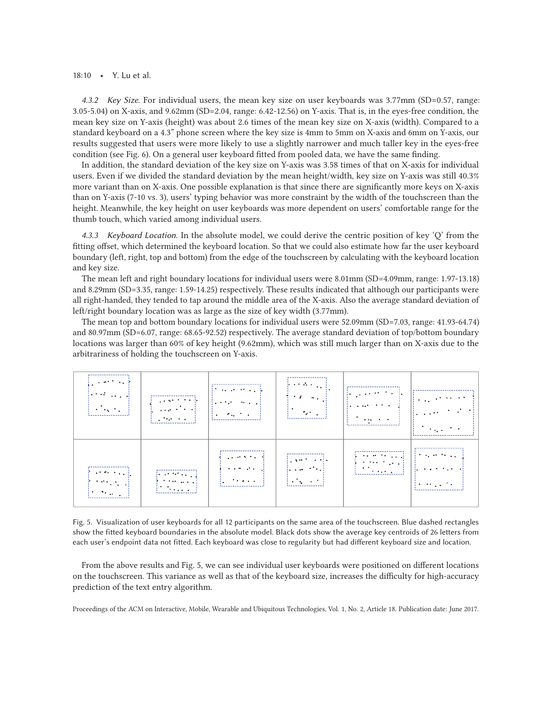### 18:10 • Y. Lu et al.

*4.3.2 Key Size.* For individual users, the mean key size on user keyboards was 3.77mm (SD=0.57, range: 3.05-5.04) on X-axis, and 9.62mm (SD=2.04, range: 6.42-12.56) on Y-axis. That is, in the eyes-free condition, the mean key size on Y-axis (height) was about 2.6 times of the mean key size on X-axis (width). Compared to a standard keyboard on a 4.3" phone screen where the key size is 4mm to 5mm on X-axis and 6mm on Y-axis, our results suggested that users were more likely to use a slightly narrower and much taller key in the eyes-free condition (see Fig. [6\)](#page-10-0). On a general user keyboard fitted from pooled data, we have the same finding.

In addition, the standard deviation of the key size on Y-axis was 3.58 times of that on X-axis for individual users. Even if we divided the standard deviation by the mean height/width, key size on Y-axis was still 40.3% more variant than on X-axis. One possible explanation is that since there are significantly more keys on X-axis than on Y-axis (7-10 vs. 3), users' typing behavior was more constraint by the width of the touchscreen than the height. Meanwhile, the key height on user keyboards was more dependent on users' comfortable range for the thumb touch, which varied among individual users.

*4.3.3 Keyboard Location.* In the absolute model, we could derive the centric position of key 'Q' from the fitting offset, which determined the keyboard location. So that we could also estimate how far the user keyboard boundary (left, right, top and bottom) from the edge of the touchscreen by calculating with the keyboard location and key size.

The mean left and right boundary locations for individual users were 8.01mm (SD=4.09mm, range: 1.97-13.18) and 8.29mm (SD=3.35, range: 1.59-14.25) respectively. These results indicated that although our participants were all right-handed, they tended to tap around the middle area of the X-axis. Also the average standard deviation of left/right boundary location was as large as the size of key width (3.77mm).

The mean top and bottom boundary locations for individual users were 52.09mm (SD=7.03, range: 41.93-64.74) and 80.97mm (SD=6.07, range: 68.65-92.52) respectively. The average standard deviation of top/bottom boundary locations was larger than 60% of key height (9.62mm), which was still much larger than on X-axis due to the arbitrariness of holding the touchscreen on Y-axis.

<span id="page-9-0"></span>

| الوجاج والمعارية                                                                                                                                                                                            | $\sim 10^{-10}$ m $^{-1}$                                                    | de la componentación de                                                                       | $\{x_1, x_2, x_3, \ldots, x_n\}$                                                                                                  | $\mathbb{R}^n$ . The set of $\mathbb{R}^n$                                                                                                                                                                                                                                                                                                                                                                           | $\mathbf{r}$ and $\mathbf{r}$ and $\mathbf{r}$                    |
|-------------------------------------------------------------------------------------------------------------------------------------------------------------------------------------------------------------|------------------------------------------------------------------------------|-----------------------------------------------------------------------------------------------|-----------------------------------------------------------------------------------------------------------------------------------|----------------------------------------------------------------------------------------------------------------------------------------------------------------------------------------------------------------------------------------------------------------------------------------------------------------------------------------------------------------------------------------------------------------------|-------------------------------------------------------------------|
| $\mathbb{R}^n$ . The set of $\mathbb{R}^n$                                                                                                                                                                  | $\sim 100$ and $\sim 100$                                                    | $\mathbf{1}$ and $\mathbf{1}$ and $\mathbf{1}$ and $\mathbf{1}$                               | $\mathcal{L} = \{ \mathcal{L} \}$                                                                                                 | The property of the con-                                                                                                                                                                                                                                                                                                                                                                                             | $\mathbb{R}^n$ . The set of $\mathbb{R}^n$                        |
| $\mathcal{O}(\mathcal{O}(\log n))$                                                                                                                                                                          | $\frac{1}{2}$ , then $\frac{1}{2}$ , $\frac{1}{2}$                           | $\mathbb{R}^n$ and $\mathbb{R}^n$                                                             | $\label{eq:1} \mathbf{E} = \left\{ \mathbf{E} \left[ \mathbf{E} \right] \mathbf{E} \right\} \mathbf{E} \left[ \mathbf{E} \right]$ | $\mathcal{O}(\mathcal{O}_{\mathbb{Z}_p^2}(\mathcal{O}_{\mathbb{Z}_p^2}(\mathcal{O}_{\mathbb{Z}_p^2}(\mathcal{O}_{\mathbb{Z}_p^2}(\mathcal{O}_{\mathbb{Z}_p^2}(\mathcal{O}_{\mathbb{Z}_p^2}(\mathcal{O}_{\mathbb{Z}_p^2}(\mathcal{O}_{\mathbb{Z}_p^2}(\mathcal{O}_{\mathbb{Z}_p^2}(\mathcal{O}_{\mathbb{Z}_p^2}(\mathcal{O}_{\mathbb{Z}_p^2}(\mathcal{O}_{\mathbb{Z}_p^2}(\mathcal{O}_{\mathbb{Z}_p^2}(\mathcal{O}_{$ | $\mathcal{O}(\mathcal{O}(1))$ , and $\mathcal{O}(\mathcal{O}(1))$ |
| $\mathcal{L}(\mathcal{A})$ and $\mathcal{L}(\mathcal{A})$ and $\mathcal{L}(\mathcal{A})$<br>$\{ \ldots, \ldots, \ldots \}$<br>$\frac{1}{2}$ , $\frac{1}{2}$ , $\frac{1}{2}$ , $\frac{1}{2}$ , $\frac{1}{2}$ | $\mathbb{R}^n$ and $\mathbb{R}^n$<br>$\frac{1}{2}$ . $\cdots$<br>de Cartilla | <b>Service</b><br>contract and support the pro-<br>$\mathbf{1}$ , and the set of $\mathbf{1}$ | $\mathbb{R}^n \times \mathbb{R}^n \times \mathbb{R}^n$<br>$\{x_1, x_2, \ldots, x_n\}$                                             | . The matrix $\mathbb{E}[\mathcal{E}^{(1)}]$ is the set of the set                                                                                                                                                                                                                                                                                                                                                   | $\mathbb{R}^n$ . The set $\mathbb{R}^n$ is the $\mathbb{R}^n$     |

Fig. 5. Visualization of user keyboards for all 12 participants on the same area of the touchscreen. Blue dashed rectangles show the fitted keyboard boundaries in the absolute model. Black dots show the average key centroids of 26 letters from each user's endpoint data not fitted. Each keyboard was close to regularity but had different keyboard size and location.

From the above results and Fig. [5,](#page-9-0) we can see individual user keyboards were positioned on different locations on the touchscreen. This variance as well as that of the keyboard size, increases the difficulty for high-accuracy prediction of the text entry algorithm.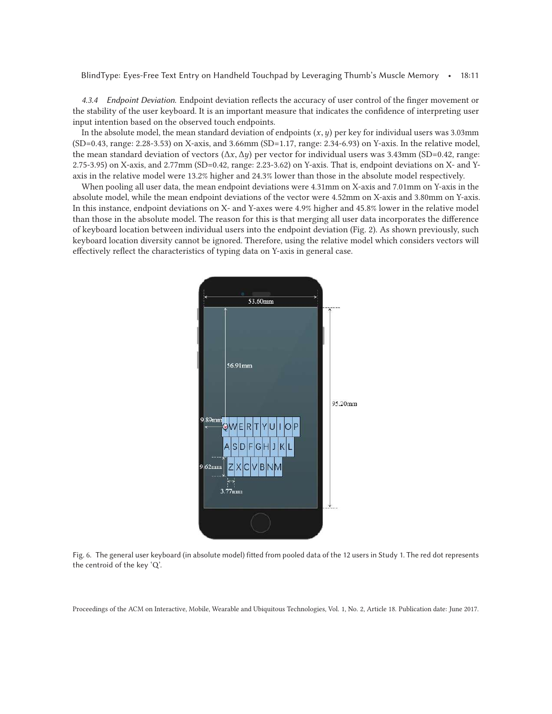*4.3.4 Endpoint Deviation.* Endpoint deviation reflects the accuracy of user control of the finger movement or the stability of the user keyboard. It is an important measure that indicates the confidence of interpreting user input intention based on the observed touch endpoints.

In the absolute model, the mean standard deviation of endpoints  $(x, y)$  per key for individual users was 3.03mm (SD=0.43, range: 2.28-3.53) on X-axis, and 3.66mm (SD=1.17, range: 2.34-6.93) on Y-axis. In the relative model, the mean standard deviation of vectors  $(\Delta x, \Delta y)$  per vector for individual users was 3.43mm (SD=0.42, range: 2.75-3.95) on X-axis, and 2.77mm (SD=0.42, range: 2.23-3.62) on Y-axis. That is, endpoint deviations on X- and Yaxis in the relative model were 13.2% higher and 24.3% lower than those in the absolute model respectively.

When pooling all user data, the mean endpoint deviations were 4.31mm on X-axis and 7.01mm on Y-axis in the absolute model, while the mean endpoint deviations of the vector were 4.52mm on X-axis and 3.80mm on Y-axis. In this instance, endpoint deviations on X- and Y-axes were 4.9% higher and 45.8% lower in the relative model than those in the absolute model. The reason for this is that merging all user data incorporates the difference of keyboard location between individual users into the endpoint deviation (Fig. [2\)](#page-5-0). As shown previously, such keyboard location diversity cannot be ignored. Therefore, using the relative model which considers vectors will effectively reflect the characteristics of typing data on Y-axis in general case.

<span id="page-10-0"></span>

Fig. 6. The general user keyboard (in absolute model) fitted from pooled data of the 12 users in Study 1. The red dot represents the centroid of the key 'Q'.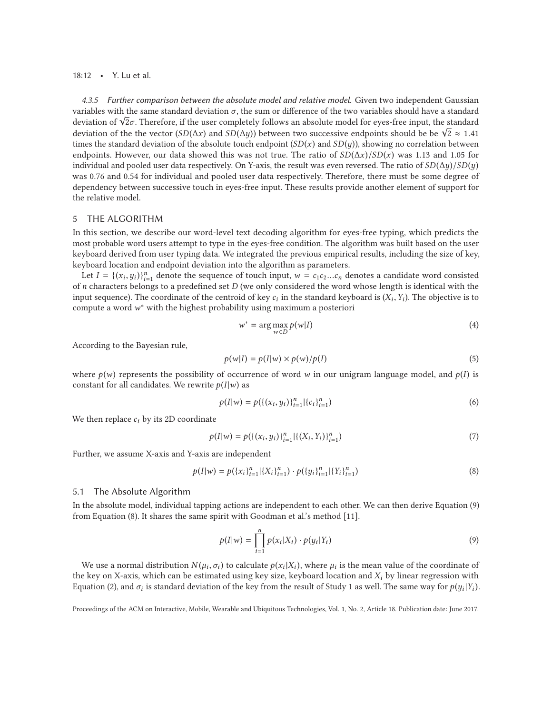#### 18:12 • Y. Lu et al.

*4.3.5 Further comparison between the absolute model and relative model.* Given two independent Gaussian variables with the same standard deviation  $\sigma$ , the sum or difference of the two variables should have a standard deviation of  $\sqrt{2}\sigma$ . Therefore, if the user completely follows an absolute model for eyes-free input, the standard deviation of  $\sqrt{2}\sigma$ . deviation of the the vector  $(SD(\Delta x)$  and  $SD(\Delta y))$  between two successive endpoints should be be  $\sqrt{2} \approx 1.41$ times the standard deviation of the absolute touch endpoint  $(SD(x))$  and  $SD(y)$ , showing no correlation between endpoints. However, our data showed this was not true. The ratio of  $SD(\Delta x)/SD(x)$  was 1.13 and 1.05 for individual and pooled user data respectively. On Y-axis, the result was even reversed. The ratio of  $SD(\Delta y)/SD(y)$ was 0.76 and 0.54 for individual and pooled user data respectively. Therefore, there must be some degree of dependency between successive touch in eyes-free input. These results provide another element of support for the relative model.

# 5 THE ALGORITHM

In this section, we describe our word-level text decoding algorithm for eyes-free typing, which predicts the most probable word users attempt to type in the eyes-free condition. The algorithm was built based on the user keyboard derived from user typing data. We integrated the previous empirical results, including the size of key, keyboard location and endpoint deviation into the algorithm as parameters.

Let  $I = \{(x_i, y_i)\}_{i=1}^n$  denote the sequence of touch input,  $w = c_1c_2...c_n$  denotes a candidate word consisted of n characters belongs to a predefined set  $D$  (we only considered the word whose length is identical with the input sequence). The coordinate of the centroid of key  $c_i$  in the standard keyboard is  $(X_i, Y_i)$ . The objective is to compute a word w∗ with the highest probability using maximum a posteriori

$$
w^* = \arg\max_{w \in D} p(w|I) \tag{4}
$$

According to the Bayesian rule,

$$
p(w|I) = p(I|w) \times p(w)/p(I)
$$
\n(5)

where  $p(w)$  represents the possibility of occurrence of word w in our unigram language model, and  $p(I)$  is constant for all candidates. We rewrite  $p(I|w)$  as

$$
p(I|w) = p(\{(x_i, y_i)\}_{i=1}^n | \{c_i\}_{i=1}^n)
$$
\n(6)

We then replace  $c_i$  by its 2D coordinate

$$
p(I|w) = p(\{(x_i, y_i)\}_{i=1}^n | \{(X_i, Y_i)\}_{i=1}^n)
$$
\n<sup>(7)</sup>

Further, we assume X-axis and Y-axis are independent

<span id="page-11-1"></span>
$$
p(I|w) = p(\lbrace x_i \rbrace_{i=1}^n | \lbrace X_i \rbrace_{i=1}^n) \cdot p(\lbrace y_i \rbrace_{i=1}^n | \lbrace Y_i \rbrace_{i=1}^n)
$$
\n(8)

### 5.1 The Absolute Algorithm

In the absolute model, individual tapping actions are independent to each other. We can then derive Equation [\(9\)](#page-11-0) from Equation [\(8\)](#page-11-1). It shares the same spirit with Goodman et al.'s method [\[11\]](#page-22-15).

<span id="page-11-0"></span>
$$
p(I|w) = \prod_{i=1}^{n} p(x_i|X_i) \cdot p(y_i|Y_i)
$$
\n(9)

We use a normal distribution  $N(\mu_i, \sigma_i)$  to calculate  $p(x_i | X_i)$ , where  $\mu_i$  is the mean value of the coordinate of the key on X-axis, which can be estimated using key size, keyboard location and  $X_i$  by linear regression with Equation [\(2\)](#page-7-3), and  $\sigma_i$  is standard deviation of the key from the result of Study 1 as well. The same way for  $p(y_i | Y_i)$ .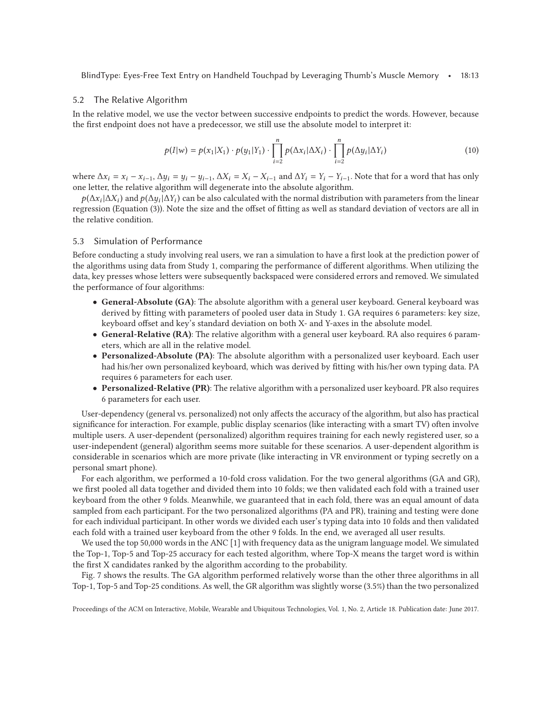#### 5.2 The Relative Algorithm

In the relative model, we use the vector between successive endpoints to predict the words. However, because the first endpoint does not have a predecessor, we still use the absolute model to interpret it:

$$
p(I|w) = p(x_1|X_1) \cdot p(y_1|Y_1) \cdot \prod_{i=2}^n p(\Delta x_i|\Delta X_i) \cdot \prod_{i=2}^n p(\Delta y_i|\Delta Y_i)
$$
 (10)

where  $\Delta x_i = x_i - x_{i-1}$ ,  $\Delta y_i = y_i - y_{i-1}$ ,  $\Delta X_i = X_i - X_{i-1}$  and  $\Delta Y_i = Y_i - Y_{i-1}$ . Note that for a word that has only one letter, the relative algorithm will degenerate into the absolute algorithm.

 $p(\Delta x_i | \Delta X_i)$  and  $p(\Delta y_i | \Delta Y_i)$  can be also calculated with the normal distribution with parameters from the linear regression (Equation [\(3\)](#page-8-1)). Note the size and the offset of fitting as well as standard deviation of vectors are all in the relative condition.

# 5.3 Simulation of Performance

Before conducting a study involving real users, we ran a simulation to have a first look at the prediction power of the algorithms using data from Study 1, comparing the performance of different algorithms. When utilizing the data, key presses whose letters were subsequently backspaced were considered errors and removed. We simulated the performance of four algorithms:

- **General-Absolute (GA)**: The absolute algorithm with a general user keyboard. General keyboard was derived by fitting with parameters of pooled user data in Study 1. GA requires 6 parameters: key size, keyboard offset and key's standard deviation on both X- and Y-axes in the absolute model.
- **General-Relative (RA)**: The relative algorithm with a general user keyboard. RA also requires 6 parameters, which are all in the relative model.
- **Personalized-Absolute (PA)**: The absolute algorithm with a personalized user keyboard. Each user had his/her own personalized keyboard, which was derived by fitting with his/her own typing data. PA requires 6 parameters for each user.
- **Personalized-Relative (PR)**: The relative algorithm with a personalized user keyboard. PR also requires 6 parameters for each user.

User-dependency (general vs. personalized) not only affects the accuracy of the algorithm, but also has practical significance for interaction. For example, public display scenarios (like interacting with a smart TV) often involve multiple users. A user-dependent (personalized) algorithm requires training for each newly registered user, so a user-independent (general) algorithm seems more suitable for these scenarios. A user-dependent algorithm is considerable in scenarios which are more private (like interacting in VR environment or typing secretly on a personal smart phone).

For each algorithm, we performed a 10-fold cross validation. For the two general algorithms (GA and GR), we first pooled all data together and divided them into 10 folds; we then validated each fold with a trained user keyboard from the other 9 folds. Meanwhile, we guaranteed that in each fold, there was an equal amount of data sampled from each participant. For the two personalized algorithms (PA and PR), training and testing were done for each individual participant. In other words we divided each user's typing data into 10 folds and then validated each fold with a trained user keyboard from the other 9 folds. In the end, we averaged all user results.

We used the top 50,000 words in the ANC [\[1\]](#page-21-4) with frequency data as the unigram language model. We simulated the Top-1, Top-5 and Top-25 accuracy for each tested algorithm, where Top-X means the target word is within the first X candidates ranked by the algorithm according to the probability.

Fig. [7](#page-13-0) shows the results. The GA algorithm performed relatively worse than the other three algorithms in all Top-1, Top-5 and Top-25 conditions. As well, the GR algorithm was slightly worse (3.5%) than the two personalized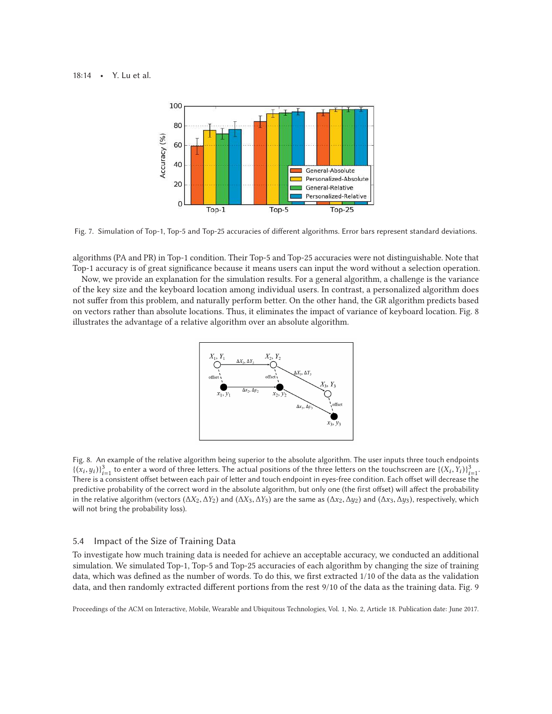#### <span id="page-13-0"></span>18:14 • Y. Lu et al.



Fig. 7. Simulation of Top-1, Top-5 and Top-25 accuracies of different algorithms. Error bars represent standard deviations.

algorithms (PA and PR) in Top-1 condition. Their Top-5 and Top-25 accuracies were not distinguishable. Note that Top-1 accuracy is of great significance because it means users can input the word without a selection operation.

<span id="page-13-1"></span>Now, we provide an explanation for the simulation results. For a general algorithm, a challenge is the variance of the key size and the keyboard location among individual users. In contrast, a personalized algorithm does not suffer from this problem, and naturally perform better. On the other hand, the GR algorithm predicts based on vectors rather than absolute locations. Thus, it eliminates the impact of variance of keyboard location. Fig. [8](#page-13-1) illustrates the advantage of a relative algorithm over an absolute algorithm.



Fig. 8. An example of the relative algorithm being superior to the absolute algorithm. The user inputs three touch endpoints  $\{(x_i,y_i)\}_{i=1}^3$  to enter a word of three letters. The actual positions of the three letters on the touchscreen are  $\{(X_i,Y_i)\}_{i=1}^3$ . There is a consistent offset between each pair of letter and touch endpoint in eyes-free condition. Each offset will decrease the predictive probability of the correct word in the absolute algorithm, but only one (the first offset) will affect the probability in the relative algorithm (vectors  $(\Delta X_2, \Delta Y_2)$  and  $(\Delta X_3, \Delta Y_3)$  are the same as  $(\Delta x_2, \Delta y_2)$  and  $(\Delta x_3, \Delta y_3)$ , respectively, which will not bring the probability loss).

### 5.4 Impact of the Size of Training Data

To investigate how much training data is needed for achieve an acceptable accuracy, we conducted an additional simulation. We simulated Top-1, Top-5 and Top-25 accuracies of each algorithm by changing the size of training data, which was defined as the number of words. To do this, we first extracted 1/10 of the data as the validation data, and then randomly extracted different portions from the rest 9/10 of the data as the training data. Fig. [9](#page-14-0)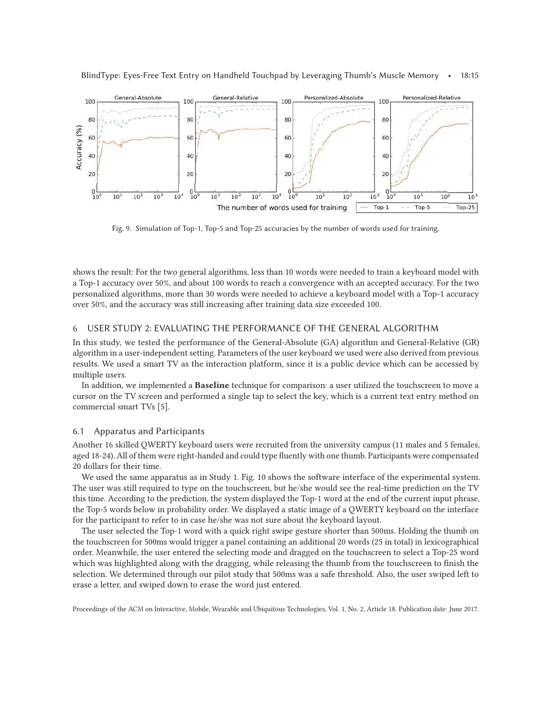<span id="page-14-0"></span>

Fig. 9. Simulation of Top-1, Top-5 and Top-25 accuracies by the number of words used for training.

shows the result: For the two general algorithms, less than 10 words were needed to train a keyboard model with a Top-1 accuracy over 50%, and about 100 words to reach a convergence with an accepted accuracy. For the two personalized algorithms, more than 30 words were needed to achieve a keyboard model with a Top-1 accuracy over 50%, and the accuracy was still increasing after training data size exceeded 100.

### 6 USER STUDY 2: EVALUATING THE PERFORMANCE OF THE GENERAL ALGORITHM

In this study, we tested the performance of the General-Absolute (GA) algorithm and General-Relative (GR) algorithm in a user-independent setting. Parameters of the user keyboard we used were also derived from previous results. We used a smart TV as the interaction platform, since it is a public device which can be accessed by multiple users.

In addition, we implemented a **Baseline** technique for comparison: a user utilized the touchscreen to move a cursor on the TV screen and performed a single tap to select the key, which is a current text entry method on commercial smart TVs [\[5\]](#page-21-5).

# 6.1 Apparatus and Participants

Another 16 skilled QWERTY keyboard users were recruited from the university campus (11 males and 5 females, aged 18-24). All of them were right-handed and could type fluently with one thumb. Participants were compensated 20 dollars for their time.

We used the same apparatus as in Study 1. Fig. [10](#page-15-0) shows the software interface of the experimental system. The user was still required to type on the touchscreen, but he/she would see the real-time prediction on the TV this time. According to the prediction, the system displayed the Top-1 word at the end of the current input phrase, the Top-5 words below in probability order. We displayed a static image of a QWERTY keyboard on the interface for the participant to refer to in case he/she was not sure about the keyboard layout.

The user selected the Top-1 word with a quick right swipe gesture shorter than 500ms. Holding the thumb on the touchscreen for 500ms would trigger a panel containing an additional 20 words (25 in total) in lexicographical order. Meanwhile, the user entered the selecting mode and dragged on the touchscreen to select a Top-25 word which was highlighted along with the dragging, while releasing the thumb from the touchscreen to finish the selection. We determined through our pilot study that 500ms was a safe threshold. Also, the user swiped left to erase a letter, and swiped down to erase the word just entered.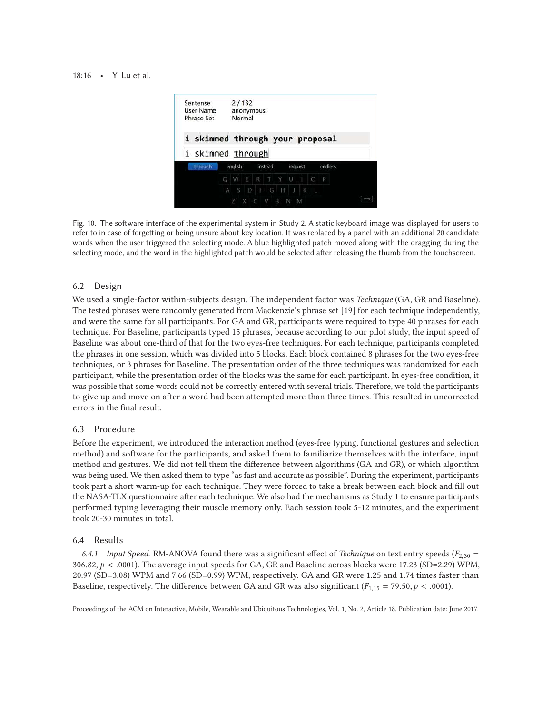### <span id="page-15-0"></span>18:16 • Y. Lu et al.



Fig. 10. The software interface of the experimental system in Study 2. A static keyboard image was displayed for users to refer to in case of forgetting or being unsure about key location. It was replaced by a panel with an additional 20 candidate words when the user triggered the selecting mode. A blue highlighted patch moved along with the dragging during the selecting mode, and the word in the highlighted patch would be selected after releasing the thumb from the touchscreen.

### 6.2 Design

We used a single-factor within-subjects design. The independent factor was *Technique* (GA, GR and Baseline). The tested phrases were randomly generated from Mackenzie's phrase set [\[19\]](#page-22-17) for each technique independently, and were the same for all participants. For GA and GR, participants were required to type 40 phrases for each technique. For Baseline, participants typed 15 phrases, because according to our pilot study, the input speed of Baseline was about one-third of that for the two eyes-free techniques. For each technique, participants completed the phrases in one session, which was divided into 5 blocks. Each block contained 8 phrases for the two eyes-free techniques, or 3 phrases for Baseline. The presentation order of the three techniques was randomized for each participant, while the presentation order of the blocks was the same for each participant. In eyes-free condition, it was possible that some words could not be correctly entered with several trials. Therefore, we told the participants to give up and move on after a word had been attempted more than three times. This resulted in uncorrected errors in the final result.

# 6.3 Procedure

Before the experiment, we introduced the interaction method (eyes-free typing, functional gestures and selection method) and software for the participants, and asked them to familiarize themselves with the interface, input method and gestures. We did not tell them the difference between algorithms (GA and GR), or which algorithm was being used. We then asked them to type "as fast and accurate as possible". During the experiment, participants took part a short warm-up for each technique. They were forced to take a break between each block and fill out the NASA-TLX questionnaire after each technique. We also had the mechanisms as Study 1 to ensure participants performed typing leveraging their muscle memory only. Each session took 5-12 minutes, and the experiment took 20-30 minutes in total.

#### 6.4 Results

6.4.1 Input Speed. RM-ANOVA found there was a significant effect of *Technique* on text entry speeds ( $F_{2,30}$  = 306.82,  $p < .0001$ ). The average input speeds for GA, GR and Baseline across blocks were 17.23 (SD=2.29) WPM, 20.97 (SD=3.08) WPM and 7.66 (SD=0.99) WPM, respectively. GA and GR were 1.25 and 1.74 times faster than Baseline, respectively. The difference between GA and GR was also significant ( $F_{1,15} = 79.50$ ,  $p < .0001$ ).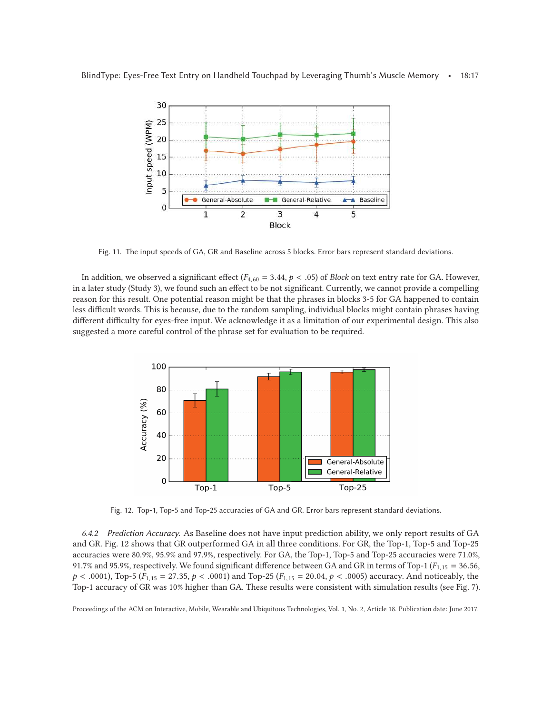

Fig. 11. The input speeds of GA, GR and Baseline across 5 blocks. Error bars represent standard deviations.

In addition, we observed a significant effect ( $F_{4,60} = 3.44, p < .05$ ) of *Block* on text entry rate for GA. However, in a later study (Study 3), we found such an effect to be not significant. Currently, we cannot provide a compelling reason for this result. One potential reason might be that the phrases in blocks 3-5 for GA happened to contain less difficult words. This is because, due to the random sampling, individual blocks might contain phrases having different difficulty for eyes-free input. We acknowledge it as a limitation of our experimental design. This also suggested a more careful control of the phrase set for evaluation to be required.

<span id="page-16-0"></span>

Fig. 12. Top-1, Top-5 and Top-25 accuracies of GA and GR. Error bars represent standard deviations.

*6.4.2 Prediction Accuracy.* As Baseline does not have input prediction ability, we only report results of GA and GR. Fig. [12](#page-16-0) shows that GR outperformed GA in all three conditions. For GR, the Top-1, Top-5 and Top-25 accuracies were 80.9%, 95.9% and 97.9%, respectively. For GA, the Top-1, Top-5 and Top-25 accuracies were 71.0%, 91.7% and 95.9%, respectively. We found significant difference between GA and GR in terms of Top-1 ( $F_{1,15}$  = 36.56,  $p < .0001$ ), Top-5 ( $F_{1,15} = 27.35, p < .0001$ ) and Top-25 ( $F_{1,15} = 20.04, p < .0005$ ) accuracy. And noticeably, the Top-1 accuracy of GR was 10% higher than GA. These results were consistent with simulation results (see Fig. [7\)](#page-13-0).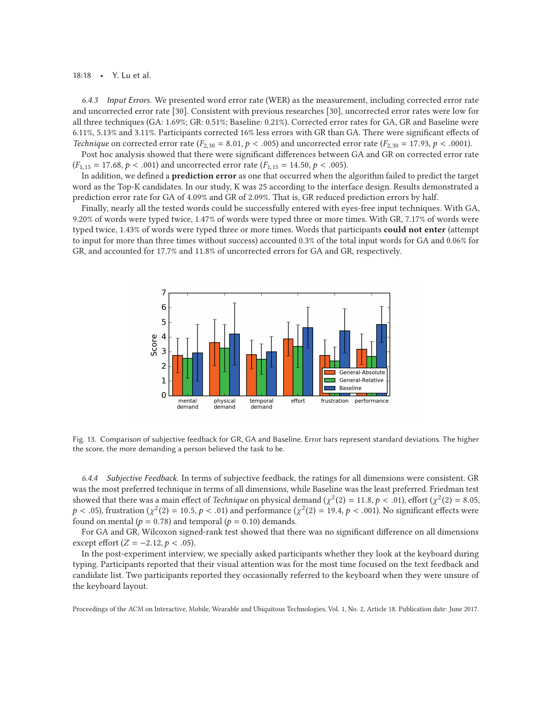#### 18:18 • Y. Lu et al.

*6.4.3 Input Errors.* We presented word error rate (WER) as the measurement, including corrected error rate and uncorrected error rate [\[30\]](#page-23-6). Consistent with previous researches [\[30\]](#page-23-6), uncorrected error rates were low for all three techniques (GA: 1.69%; GR: 0.51%; Baseline: 0.21%). Corrected error rates for GA, GR and Baseline were 6.11%, 5.13% and 3.11%. Participants corrected 16% less errors with GR than GA. There were significant effects of *Technique* on corrected error rate ( $F_{2,30} = 8.01, p < .005$ ) and uncorrected error rate ( $F_{2,30} = 17.93, p < .0001$ ).

Post hoc analysis showed that there were significant differences between GA and GR on corrected error rate  $(F_{1,15} = 17.68, p < .001)$  and uncorrected error rate  $(F_{1,15} = 14.50, p < .005)$ .

In addition, we defined a **prediction error** as one that occurred when the algorithm failed to predict the target word as the Top-K candidates. In our study, K was 25 according to the interface design. Results demonstrated a prediction error rate for GA of 4.09% and GR of 2.09%. That is, GR reduced prediction errors by half.

Finally, nearly all the tested words could be successfully entered with eyes-free input techniques. With GA, 9.20% of words were typed twice, 1.47% of words were typed three or more times. With GR, 7.17% of words were typed twice, 1.43% of words were typed three or more times. Words that participants **could not enter** (attempt to input for more than three times without success) accounted 0.3% of the total input words for GA and 0.06% for GR, and accounted for 17.7% and 11.8% of uncorrected errors for GA and GR, respectively.



Fig. 13. Comparison of subjective feedback for GR, GA and Baseline. Error bars represent standard deviations. The higher the score, the more demanding a person believed the task to be.

*6.4.4 Subjective Feedback.* In terms of subjective feedback, the ratings for all dimensions were consistent. GR was the most preferred technique in terms of all dimensions, while Baseline was the least preferred. Friedman test showed that there was a main effect of *Technique* on physical demand ( $\chi^2(2) = 11.8$ ,  $p < .01$ ), effort ( $\chi^2(2) = 8.05$ ,  $p < .05$ ), frustration ( $\chi^2(2) = 10.5$ ,  $p < .01$ ) and performance ( $\chi^2(2) = 19.4$ ,  $p < .001$ ). No significant effects were found on mental ( $p = 0.78$ ) and temporal ( $p = 0.10$ ) demands.

For GA and GR, Wilcoxon signed-rank test showed that there was no significant difference on all dimensions except effort ( $Z = -2.12, p < .05$ ).

In the post-experiment interview, we specially asked participants whether they look at the keyboard during typing. Participants reported that their visual attention was for the most time focused on the text feedback and candidate list. Two participants reported they occasionally referred to the keyboard when they were unsure of the keyboard layout.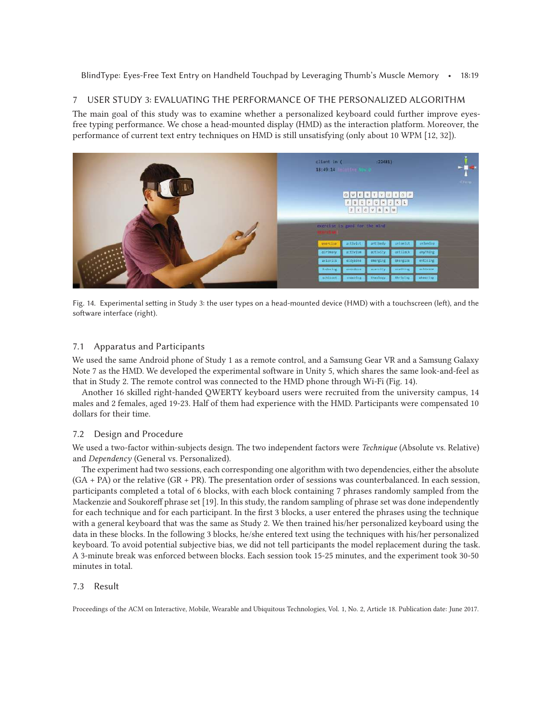# 7 USER STUDY 3: EVALUATING THE PERFORMANCE OF THE PERSONALIZED ALGORITHM

The main goal of this study was to examine whether a personalized keyboard could further improve eyesfree typing performance. We chose a head-mounted display (HMD) as the interaction platform. Moreover, the performance of current text entry techniques on HMD is still unsatisfying (only about 10 WPM [\[12,](#page-22-18) [32\]](#page-23-7)).

<span id="page-18-0"></span>

Fig. 14. Experimental setting in Study 3: the user types on a head-mounted device (HMD) with a touchscreen (left), and the software interface (right).

# 7.1 Apparatus and Participants

We used the same Android phone of Study 1 as a remote control, and a Samsung Gear VR and a Samsung Galaxy Note 7 as the HMD. We developed the experimental software in Unity 5, which shares the same look-and-feel as that in Study 2. The remote control was connected to the HMD phone through Wi-Fi (Fig. [14\)](#page-18-0).

Another 16 skilled right-handed QWERTY keyboard users were recruited from the university campus, 14 males and 2 females, aged 19-23. Half of them had experience with the HMD. Participants were compensated 10 dollars for their time.

# 7.2 Design and Procedure

We used a two-factor within-subjects design. The two independent factors were *Technique* (Absolute vs. Relative) and *Dependency* (General vs. Personalized).

The experiment had two sessions, each corresponding one algorithm with two dependencies, either the absolute (GA + PA) or the relative (GR + PR). The presentation order of sessions was counterbalanced. In each session, participants completed a total of 6 blocks, with each block containing 7 phrases randomly sampled from the Mackenzie and Soukoreff phrase set [\[19\]](#page-22-17). In this study, the random sampling of phrase set was done independently for each technique and for each participant. In the first 3 blocks, a user entered the phrases using the technique with a general keyboard that was the same as Study 2. We then trained his/her personalized keyboard using the data in these blocks. In the following 3 blocks, he/she entered text using the techniques with his/her personalized keyboard. To avoid potential subjective bias, we did not tell participants the model replacement during the task. A 3-minute break was enforced between blocks. Each session took 15-25 minutes, and the experiment took 30-50 minutes in total.

# 7.3 Result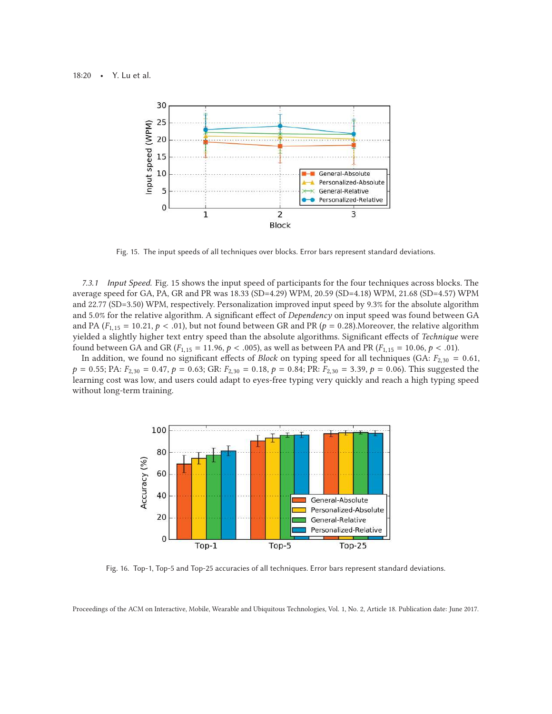<span id="page-19-0"></span>

Fig. 15. The input speeds of all techniques over blocks. Error bars represent standard deviations.

*7.3.1 Input Speed.* Fig. [15](#page-19-0) shows the input speed of participants for the four techniques across blocks. The average speed for GA, PA, GR and PR was 18.33 (SD=4.29) WPM, 20.59 (SD=4.18) WPM, 21.68 (SD=4.57) WPM and 22.77 (SD=3.50) WPM, respectively. Personalization improved input speed by 9.3% for the absolute algorithm and 5.0% for the relative algorithm. A significant effect of *Dependency* on input speed was found between GA and PA ( $F_{1,15}$  = 10.21,  $p < .01$ ), but not found between GR and PR ( $p = 0.28$ ). Moreover, the relative algorithm yielded a slightly higher text entry speed than the absolute algorithms. Significant effects of *Technique* were found between GA and GR ( $F_{1,15} = 11.96$ ,  $p < .005$ ), as well as between PA and PR ( $F_{1,15} = 10.06$ ,  $p < .01$ ).

<span id="page-19-1"></span>In addition, we found no significant effects of *Block* on typing speed for all techniques (GA:  $F_{2,30} = 0.61$ ,  $p = 0.55$ ; PA:  $F_{2,30} = 0.47$ ,  $p = 0.63$ ; GR:  $F_{2,30} = 0.18$ ,  $p = 0.84$ ; PR:  $F_{2,30} = 3.39$ ,  $p = 0.06$ ). This suggested the learning cost was low, and users could adapt to eyes-free typing very quickly and reach a high typing speed without long-term training.



Fig. 16. Top-1, Top-5 and Top-25 accuracies of all techniques. Error bars represent standard deviations.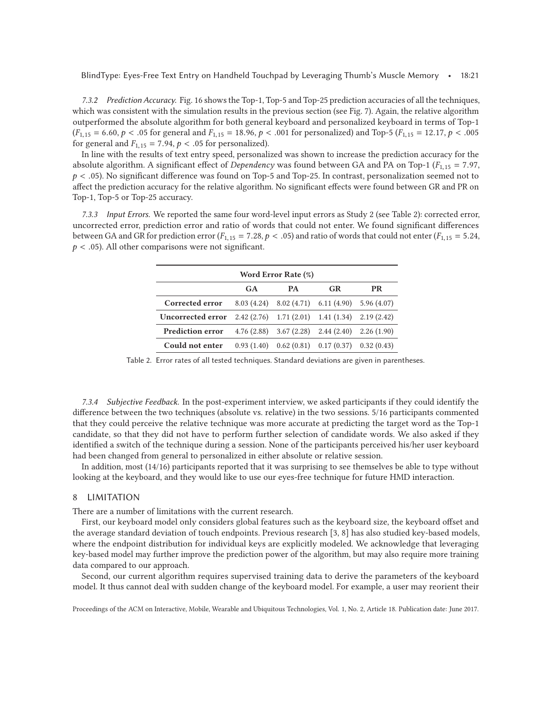*7.3.2 Prediction Accuracy.* Fig. [16](#page-19-1) shows the Top-1, Top-5 and Top-25 prediction accuracies of all the techniques, which was consistent with the simulation results in the previous section (see Fig. [7\)](#page-13-0). Again, the relative algorithm outperformed the absolute algorithm for both general keyboard and personalized keyboard in terms of Top-1  $(F_{1,15} = 6.60, p < .05$  for general and  $F_{1,15} = 18.96, p < .001$  for personalized) and Top-5  $(F_{1,15} = 12.17, p < .005$ for general and  $F_{1,15} = 7.94$ ,  $p < .05$  for personalized).

In line with the results of text entry speed, personalized was shown to increase the prediction accuracy for the absolute algorithm. A significant effect of *Dependency* was found between GA and PA on Top-1 ( $F_{1,15}$  = 7.97,  $p < .05$ ). No significant difference was found on Top-5 and Top-25. In contrast, personalization seemed not to affect the prediction accuracy for the relative algorithm. No significant effects were found between GR and PR on Top-1, Top-5 or Top-25 accuracy.

<span id="page-20-0"></span>*7.3.3 Input Errors.* We reported the same four word-level input errors as Study 2 (see Table [2\)](#page-20-0): corrected error, uncorrected error, prediction error and ratio of words that could not enter. We found significant differences between GA and GR for prediction error ( $F_{1,15} = 7.28$ ,  $p < .05$ ) and ratio of words that could not enter ( $F_{1,15} = 5.24$ ,  $p < .05$ ). All other comparisons were not significant.

| Word Error Rate (%)     |            |                                                     |                           |            |  |  |
|-------------------------|------------|-----------------------------------------------------|---------------------------|------------|--|--|
|                         | GA         | <b>PA</b>                                           | <b>GR</b>                 | <b>PR</b>  |  |  |
| Corrected error         |            | $8.03(4.24)$ $8.02(4.71)$ $6.11(4.90)$ $5.96(4.07)$ |                           |            |  |  |
| Uncorrected error       |            | $2.42(2.76)$ $1.71(2.01)$ $1.41(1.34)$              |                           | 2.19(2.42) |  |  |
| <b>Prediction error</b> |            | $4.76(2.88)$ $3.67(2.28)$ $2.44(2.40)$              |                           | 2.26(1.90) |  |  |
| Could not enter         | 0.93(1.40) |                                                     | $0.62(0.81)$ $0.17(0.37)$ | 0.32(0.43) |  |  |

Table 2. Error rates of all tested techniques. Standard deviations are given in parentheses.

*7.3.4 Subjective Feedback.* In the post-experiment interview, we asked participants if they could identify the difference between the two techniques (absolute vs. relative) in the two sessions. 5/16 participants commented that they could perceive the relative technique was more accurate at predicting the target word as the Top-1 candidate, so that they did not have to perform further selection of candidate words. We also asked if they identified a switch of the technique during a session. None of the participants perceived his/her user keyboard had been changed from general to personalized in either absolute or relative session.

In addition, most (14/16) participants reported that it was surprising to see themselves be able to type without looking at the keyboard, and they would like to use our eyes-free technique for future HMD interaction.

# 8 LIMITATION

There are a number of limitations with the current research.

First, our keyboard model only considers global features such as the keyboard size, the keyboard offset and the average standard deviation of touch endpoints. Previous research [\[3,](#page-21-2) [8\]](#page-22-3) has also studied key-based models, where the endpoint distribution for individual keys are explicitly modeled. We acknowledge that leveraging key-based model may further improve the prediction power of the algorithm, but may also require more training data compared to our approach.

Second, our current algorithm requires supervised training data to derive the parameters of the keyboard model. It thus cannot deal with sudden change of the keyboard model. For example, a user may reorient their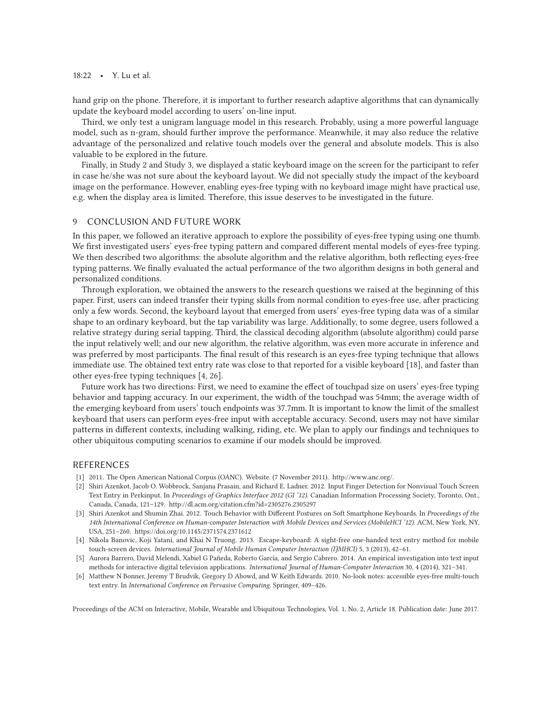#### 18:22 • Y. Lu et al.

hand grip on the phone. Therefore, it is important to further research adaptive algorithms that can dynamically update the keyboard model according to users' on-line input.

Third, we only test a unigram language model in this research. Probably, using a more powerful language model, such as n-gram, should further improve the performance. Meanwhile, it may also reduce the relative advantage of the personalized and relative touch models over the general and absolute models. This is also valuable to be explored in the future.

Finally, in Study 2 and Study 3, we displayed a static keyboard image on the screen for the participant to refer in case he/she was not sure about the keyboard layout. We did not specially study the impact of the keyboard image on the performance. However, enabling eyes-free typing with no keyboard image might have practical use, e.g. when the display area is limited. Therefore, this issue deserves to be investigated in the future.

### 9 CONCLUSION AND FUTURE WORK

In this paper, we followed an iterative approach to explore the possibility of eyes-free typing using one thumb. We first investigated users' eyes-free typing pattern and compared different mental models of eyes-free typing. We then described two algorithms: the absolute algorithm and the relative algorithm, both reflecting eyes-free typing patterns. We finally evaluated the actual performance of the two algorithm designs in both general and personalized conditions.

Through exploration, we obtained the answers to the research questions we raised at the beginning of this paper. First, users can indeed transfer their typing skills from normal condition to eyes-free use, after practicing only a few words. Second, the keyboard layout that emerged from users' eyes-free typing data was of a similar shape to an ordinary keyboard, but the tap variability was large. Additionally, to some degree, users followed a relative strategy during serial tapping. Third, the classical decoding algorithm (absolute algorithm) could parse the input relatively well; and our new algorithm, the relative algorithm, was even more accurate in inference and was preferred by most participants. The final result of this research is an eyes-free typing technique that allows immediate use. The obtained text entry rate was close to that reported for a visible keyboard [\[18\]](#page-22-19), and faster than other eyes-free typing techniques [\[4,](#page-21-0) [26\]](#page-22-2).

Future work has two directions: First, we need to examine the effect of touchpad size on users' eyes-free typing behavior and tapping accuracy. In our experiment, the width of the touchpad was 54mm; the average width of the emerging keyboard from users' touch endpoints was 37.7mm. It is important to know the limit of the smallest keyboard that users can perform eyes-free input with acceptable accuracy. Second, users may not have similar patterns in different contexts, including walking, riding, etc. We plan to apply our findings and techniques to other ubiquitous computing scenarios to examine if our models should be improved.

#### REFERENCES

- <span id="page-21-4"></span>[1] 2011. The Open American National Corpus (OANC). Website. (7 November 2011). [http://www.anc.org/.](http://www.anc.org/)
- <span id="page-21-3"></span>[2] Shiri Azenkot, Jacob O. Wobbrock, Sanjana Prasain, and Richard E. Ladner. 2012. Input Finger Detection for Nonvisual Touch Screen Text Entry in Perkinput. In *Proceedings of Graphics Interface 2012 (GI '12)*. Canadian Information Processing Society, Toronto, Ont., Canada, Canada, 121–129.<http://dl.acm.org/citation.cfm?id=2305276.2305297>
- <span id="page-21-2"></span>[3] Shiri Azenkot and Shumin Zhai. 2012. Touch Behavior with Different Postures on Soft Smartphone Keyboards. In *Proceedings of the 14th International Conference on Human-computer Interaction with Mobile Devices and Services (MobileHCI '12)*. ACM, New York, NY, USA, 251–260.<https://doi.org/10.1145/2371574.2371612>
- <span id="page-21-0"></span>[4] Nikola Banovic, Koji Yatani, and Khai N Truong. 2013. Escape-keyboard: A sight-free one-handed text entry method for mobile touch-screen devices. *International Journal of Mobile Human Computer Interaction (IJMHCI)* 5, 3 (2013), 42–61.
- <span id="page-21-5"></span>[5] Aurora Barrero, David Melendi, Xabiel G Pañeda, Roberto García, and Sergio Cabrero. 2014. An empirical investigation into text input methods for interactive digital television applications. *International Journal of Human-Computer Interaction* 30, 4 (2014), 321–341.
- <span id="page-21-1"></span>[6] Matthew N Bonner, Jeremy T Brudvik, Gregory D Abowd, and W Keith Edwards. 2010. No-look notes: accessible eyes-free multi-touch text entry. In *International Conference on Pervasive Computing*. Springer, 409–426.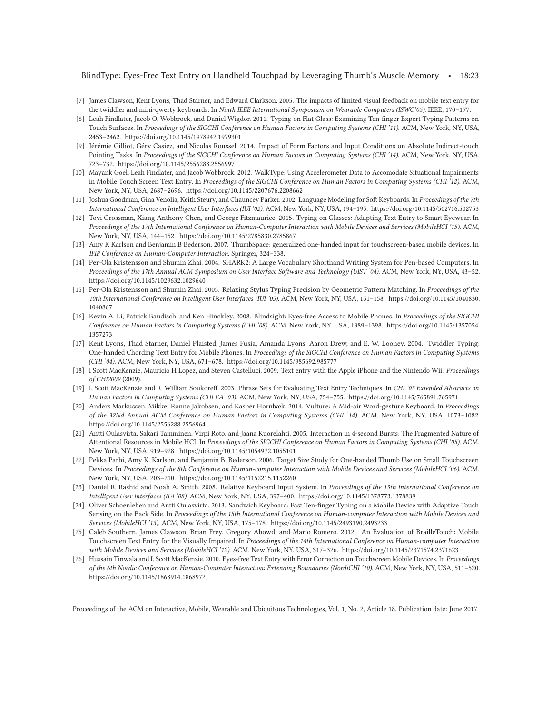- <span id="page-22-5"></span>[7] James Clawson, Kent Lyons, Thad Starner, and Edward Clarkson. 2005. The impacts of limited visual feedback on mobile text entry for the twiddler and mini-qwerty keyboards. In *Ninth IEEE International Symposium on Wearable Computers (ISWC'05)*. IEEE, 170–177.
- <span id="page-22-3"></span>[8] Leah Findlater, Jacob O. Wobbrock, and Daniel Wigdor. 2011. Typing on Flat Glass: Examining Ten-finger Expert Typing Patterns on Touch Surfaces. In *Proceedings of the SIGCHI Conference on Human Factors in Computing Systems (CHI '11)*. ACM, New York, NY, USA, 2453–2462.<https://doi.org/10.1145/1978942.1979301>
- <span id="page-22-8"></span>[9] Jérémie Gilliot, Géry Casiez, and Nicolas Roussel. 2014. Impact of Form Factors and Input Conditions on Absolute Indirect-touch Pointing Tasks. In *Proceedings of the SIGCHI Conference on Human Factors in Computing Systems (CHI '14)*. ACM, New York, NY, USA, 723–732.<https://doi.org/10.1145/2556288.2556997>
- <span id="page-22-4"></span>[10] Mayank Goel, Leah Findlater, and Jacob Wobbrock. 2012. WalkType: Using Accelerometer Data to Accomodate Situational Impairments in Mobile Touch Screen Text Entry. In *Proceedings of the SIGCHI Conference on Human Factors in Computing Systems (CHI '12)*. ACM, New York, NY, USA, 2687–2696.<https://doi.org/10.1145/2207676.2208662>
- <span id="page-22-15"></span>[11] Joshua Goodman, Gina Venolia, Keith Steury, and Chauncey Parker. 2002. Language Modeling for Soft Keyboards. In *Proceedings of the 7th International Conference on Intelligent User Interfaces (IUI '02)*. ACM, New York, NY, USA, 194–195.<https://doi.org/10.1145/502716.502753>
- <span id="page-22-18"></span>[12] Tovi Grossman, Xiang Anthony Chen, and George Fitzmaurice. 2015. Typing on Glasses: Adapting Text Entry to Smart Eyewear. In *Proceedings of the 17th International Conference on Human-Computer Interaction with Mobile Devices and Services (MobileHCI '15)*. ACM, New York, NY, USA, 144–152.<https://doi.org/10.1145/2785830.2785867>
- <span id="page-22-7"></span>[13] Amy K Karlson and Benjamin B Bederson. 2007. ThumbSpace: generalized one-handed input for touchscreen-based mobile devices. In *IFIP Conference on Human-Computer Interaction*. Springer, 324–338.
- <span id="page-22-9"></span>[14] Per-Ola Kristensson and Shumin Zhai. 2004. SHARK2: A Large Vocabulary Shorthand Writing System for Pen-based Computers. In *Proceedings of the 17th Annual ACM Symposium on User Interface Software and Technology (UIST '04)*. ACM, New York, NY, USA, 43–52. <https://doi.org/10.1145/1029632.1029640>
- <span id="page-22-10"></span>[15] Per-Ola Kristensson and Shumin Zhai. 2005. Relaxing Stylus Typing Precision by Geometric Pattern Matching. In *Proceedings of the 10th International Conference on Intelligent User Interfaces (IUI '05)*. ACM, New York, NY, USA, 151–158. [https://doi.org/10.1145/1040830.](https://doi.org/10.1145/1040830.1040867) [1040867](https://doi.org/10.1145/1040830.1040867)
- <span id="page-22-1"></span>[16] Kevin A. Li, Patrick Baudisch, and Ken Hinckley. 2008. Blindsight: Eyes-free Access to Mobile Phones. In *Proceedings of the SIGCHI Conference on Human Factors in Computing Systems (CHI '08)*. ACM, New York, NY, USA, 1389–1398. [https://doi.org/10.1145/1357054.](https://doi.org/10.1145/1357054.1357273) [1357273](https://doi.org/10.1145/1357054.1357273)
- <span id="page-22-6"></span>[17] Kent Lyons, Thad Starner, Daniel Plaisted, James Fusia, Amanda Lyons, Aaron Drew, and E. W. Looney. 2004. Twiddler Typing: One-handed Chording Text Entry for Mobile Phones. In *Proceedings of the SIGCHI Conference on Human Factors in Computing Systems (CHI '04)*. ACM, New York, NY, USA, 671–678.<https://doi.org/10.1145/985692.985777>
- <span id="page-22-19"></span>[18] I Scott MacKenzie, Mauricio H Lopez, and Steven Castelluci. 2009. Text entry with the Apple iPhone and the Nintendo Wii. *Proceedings of CHI2009* (2009).
- <span id="page-22-17"></span>[19] I. Scott MacKenzie and R. William Soukoreff. 2003. Phrase Sets for Evaluating Text Entry Techniques. In *CHI '03 Extended Abstracts on Human Factors in Computing Systems (CHI EA '03)*. ACM, New York, NY, USA, 754–755.<https://doi.org/10.1145/765891.765971>
- <span id="page-22-11"></span>[20] Anders Markussen, Mikkel Rønne Jakobsen, and Kasper Hornbæk. 2014. Vulture: A Mid-air Word-gesture Keyboard. In *Proceedings of the 32Nd Annual ACM Conference on Human Factors in Computing Systems (CHI '14)*. ACM, New York, NY, USA, 1073–1082. <https://doi.org/10.1145/2556288.2556964>
- <span id="page-22-0"></span>[21] Antti Oulasvirta, Sakari Tamminen, Virpi Roto, and Jaana Kuorelahti. 2005. Interaction in 4-second Bursts: The Fragmented Nature of Attentional Resources in Mobile HCI. In *Proceedings of the SIGCHI Conference on Human Factors in Computing Systems (CHI '05)*. ACM, New York, NY, USA, 919–928.<https://doi.org/10.1145/1054972.1055101>
- <span id="page-22-14"></span>[22] Pekka Parhi, Amy K. Karlson, and Benjamin B. Bederson. 2006. Target Size Study for One-handed Thumb Use on Small Touchscreen Devices. In *Proceedings of the 8th Conference on Human-computer Interaction with Mobile Devices and Services (MobileHCI '06)*. ACM, New York, NY, USA, 203–210.<https://doi.org/10.1145/1152215.1152260>
- <span id="page-22-16"></span>[23] Daniel R. Rashid and Noah A. Smith. 2008. Relative Keyboard Input System. In *Proceedings of the 13th International Conference on Intelligent User Interfaces (IUI '08)*. ACM, New York, NY, USA, 397–400.<https://doi.org/10.1145/1378773.1378839>
- <span id="page-22-13"></span>[24] Oliver Schoenleben and Antti Oulasvirta. 2013. Sandwich Keyboard: Fast Ten-finger Typing on a Mobile Device with Adaptive Touch Sensing on the Back Side. In *Proceedings of the 15th International Conference on Human-computer Interaction with Mobile Devices and Services (MobileHCI '13)*. ACM, New York, NY, USA, 175–178.<https://doi.org/10.1145/2493190.2493233>
- <span id="page-22-12"></span>[25] Caleb Southern, James Clawson, Brian Frey, Gregory Abowd, and Mario Romero. 2012. An Evaluation of BrailleTouch: Mobile Touchscreen Text Entry for the Visually Impaired. In *Proceedings of the 14th International Conference on Human-computer Interaction with Mobile Devices and Services (MobileHCI '12)*. ACM, New York, NY, USA, 317–326.<https://doi.org/10.1145/2371574.2371623>
- <span id="page-22-2"></span>[26] Hussain Tinwala and I. Scott MacKenzie. 2010. Eyes-free Text Entry with Error Correction on Touchscreen Mobile Devices. In *Proceedings of the 6th Nordic Conference on Human-Computer Interaction: Extending Boundaries (NordiCHI '10)*. ACM, New York, NY, USA, 511–520. <https://doi.org/10.1145/1868914.1868972>